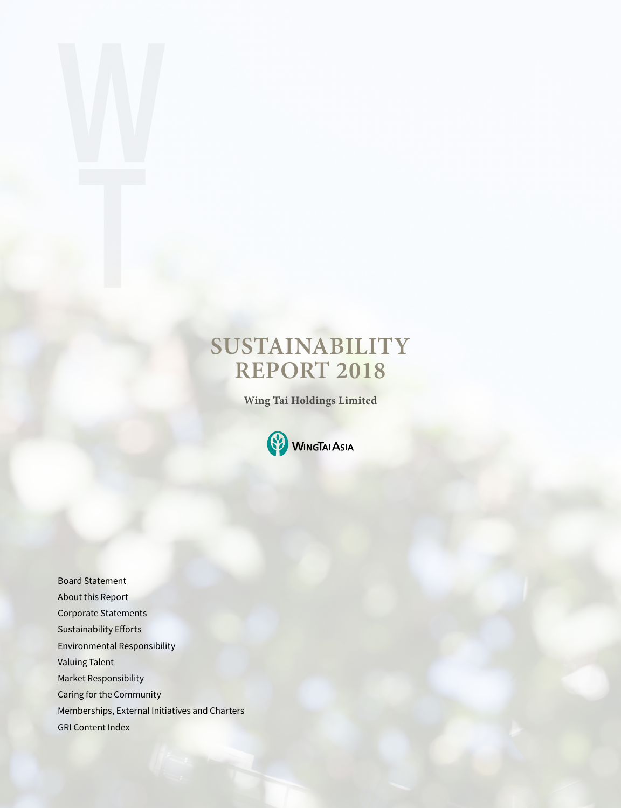# **SUSTAINABILITY REPORT 2018**

**Wing Tai Holdings Limited** 



Board Statement About this Report Corporate Statements Sustainability Efforts Environmental Responsibility Valuing Talent Market Responsibility Caring for the Community Memberships, External Initiatives and Charters GRI Content Index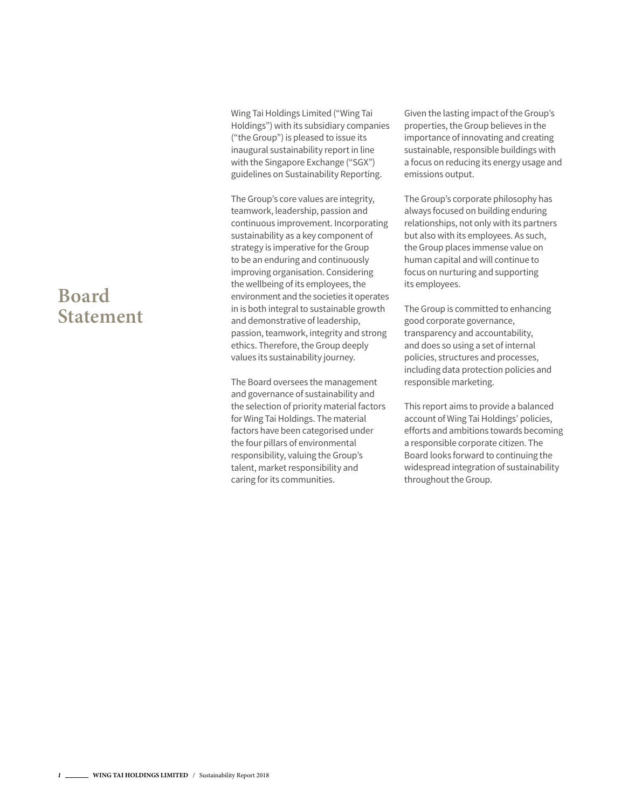### **Board Statement**

Wing Tai Holdings Limited ("Wing Tai Holdings") with its subsidiary companies ("the Group") is pleased to issue its inaugural sustainability report in line with the Singapore Exchange ("SGX") guidelines on Sustainability Reporting.

The Group's core values are integrity, teamwork, leadership, passion and continuous improvement. Incorporating sustainability as a key component of strategy is imperative for the Group to be an enduring and continuously improving organisation. Considering the wellbeing of its employees, the environment and the societies it operates in is both integral to sustainable growth and demonstrative of leadership, passion, teamwork, integrity and strong ethics. Therefore, the Group deeply values its sustainability journey.

The Board oversees the management and governance of sustainability and the selection of priority material factors for Wing Tai Holdings. The material factors have been categorised under the four pillars of environmental responsibility, valuing the Group's talent, market responsibility and caring for its communities.

Given the lasting impact of the Group's properties, the Group believes in the importance of innovating and creating sustainable, responsible buildings with a focus on reducing its energy usage and emissions output.

The Group's corporate philosophy has always focused on building enduring relationships, not only with its partners but also with its employees. As such, the Group places immense value on human capital and will continue to focus on nurturing and supporting its employees.

The Group is committed to enhancing good corporate governance, transparency and accountability, and does so using a set of internal policies, structures and processes, including data protection policies and responsible marketing.

This report aims to provide a balanced account of Wing Tai Holdings' policies, efforts and ambitions towards becoming a responsible corporate citizen. The Board looks forward to continuing the widespread integration of sustainability throughout the Group.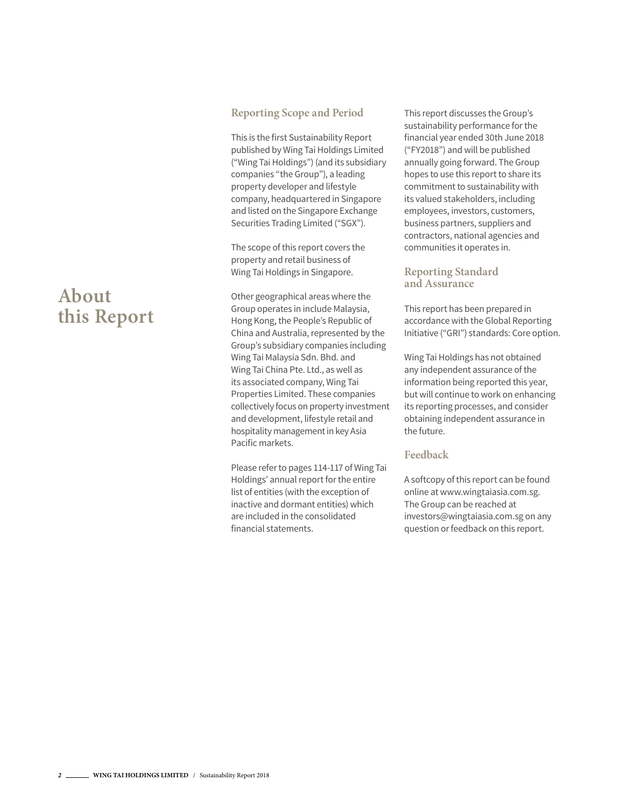#### **Reporting Scope and Period**

This is the first Sustainability Report published by Wing Tai Holdings Limited ("Wing Tai Holdings") (and its subsidiary companies "the Group"), a leading property developer and lifestyle company, headquartered in Singapore and listed on the Singapore Exchange Securities Trading Limited ("SGX").

The scope of this report covers the property and retail business of Wing Tai Holdings in Singapore.

Other geographical areas where the Group operates in include Malaysia, Hong Kong, the People's Republic of China and Australia, represented by the Group's subsidiary companies including Wing Tai Malaysia Sdn. Bhd. and Wing Tai China Pte. Ltd., as well as its associated company, Wing Tai Properties Limited. These companies collectively focus on property investment and development, lifestyle retail and hospitality management in key Asia Pacific markets.

Please refer to pages 114-117 of Wing Tai Holdings' annual report for the entire list of entities (with the exception of inactive and dormant entities) which are included in the consolidated financial statements.

This report discusses the Group's sustainability performance for the financial year ended 30th June 2018 ("FY2018") and will be published annually going forward. The Group hopes to use this report to share its commitment to sustainability with its valued stakeholders, including employees, investors, customers, business partners, suppliers and contractors, national agencies and communities it operates in.

#### **Reporting Standard and Assurance**

This report has been prepared in accordance with the Global Reporting Initiative ("GRI") standards: Core option.

Wing Tai Holdings has not obtained any independent assurance of the information being reported this year, but will continue to work on enhancing its reporting processes, and consider obtaining independent assurance in the future.

#### **Feedback**

A softcopy of this report can be found online at www.wingtaiasia.com.sg. The Group can be reached at investors@wingtaiasia.com.sg on any question or feedback on this report.

# **About this Report**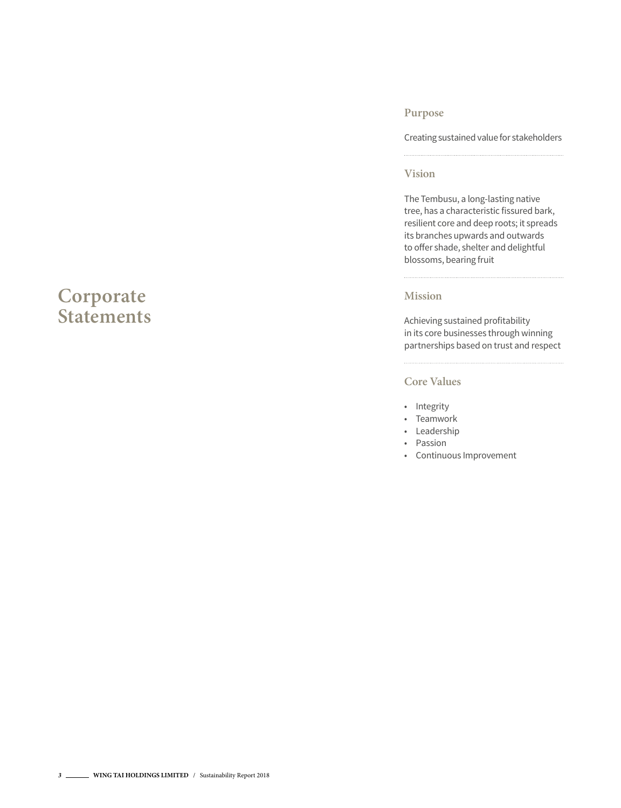### **Corporate Statements**

#### **Purpose**

Creating sustained value for stakeholders

#### **Vision**

The Tembusu, a long-lasting native tree, has a characteristic fissured bark, resilient core and deep roots; it spreads its branches upwards and outwards to offer shade, shelter and delightful blossoms, bearing fruit

#### **Mission**

 $\frac{1}{2}$ 

Achieving sustained profitability in its core businesses through winning partnerships based on trust and respect

#### **Core Values**

- Integrity
- Teamwork
- Leadership
- Passion
- Continuous Improvement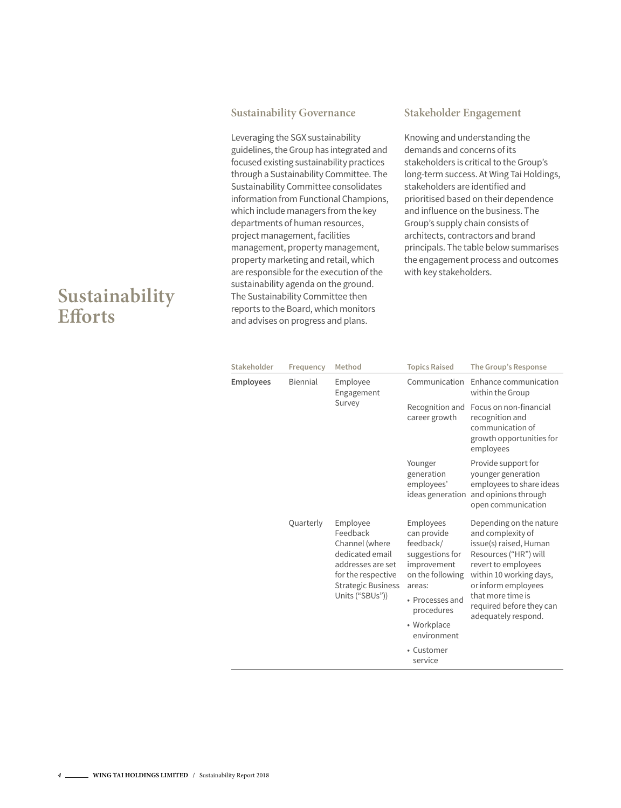#### **Sustainability Governance**

Leveraging the SGX sustainability guidelines, the Group has integrated and focused existing sustainability practices through a Sustainability Committee. The Sustainability Committee consolidates information from Functional Champions, which include managers from the key departments of human resources, project management, facilities management, property management, property marketing and retail, which are responsible for the execution of the sustainability agenda on the ground. The Sustainability Committee then reports to the Board, which monitors and advises on progress and plans.

#### **Stakeholder Engagement**

Knowing and understanding the demands and concerns of its stakeholders is critical to the Group's long-term success. At Wing Tai Holdings, stakeholders are identified and prioritised based on their dependence and influence on the business. The Group's supply chain consists of architects, contractors and brand principals. The table below summarises the engagement process and outcomes with key stakeholders.

| Stakeholder      | Frequency | Method                                                                                                                                               | <b>Topics Raised</b>                                                                                                                                                 | The Group's Response                                                                                                                                                                                                                             |
|------------------|-----------|------------------------------------------------------------------------------------------------------------------------------------------------------|----------------------------------------------------------------------------------------------------------------------------------------------------------------------|--------------------------------------------------------------------------------------------------------------------------------------------------------------------------------------------------------------------------------------------------|
| <b>Employees</b> | Biennial  | Employee<br>Engagement                                                                                                                               | Communication                                                                                                                                                        | Enhance communication<br>within the Group                                                                                                                                                                                                        |
|                  |           | Survey                                                                                                                                               | Recognition and<br>career growth                                                                                                                                     | Focus on non-financial<br>recognition and<br>communication of<br>growth opportunities for<br>employees                                                                                                                                           |
|                  |           |                                                                                                                                                      | Younger<br>generation<br>employees'<br>ideas generation                                                                                                              | Provide support for<br>younger generation<br>employees to share ideas<br>and opinions through<br>open communication                                                                                                                              |
|                  | Quarterly | Employee<br>Feedback<br>Channel (where<br>dedicated email<br>addresses are set<br>for the respective<br><b>Strategic Business</b><br>Units ("SBUs")) | Employees<br>can provide<br>feedback/<br>suggestions for<br>improvement<br>on the following<br>areas:<br>• Processes and<br>procedures<br>• Workplace<br>environment | Depending on the nature<br>and complexity of<br>issue(s) raised, Human<br>Resources ("HR") will<br>revert to employees<br>within 10 working days,<br>or inform employees<br>that more time is<br>required before they can<br>adequately respond. |
|                  |           |                                                                                                                                                      | • Customer<br>service                                                                                                                                                |                                                                                                                                                                                                                                                  |

### **Sustainability Efforts**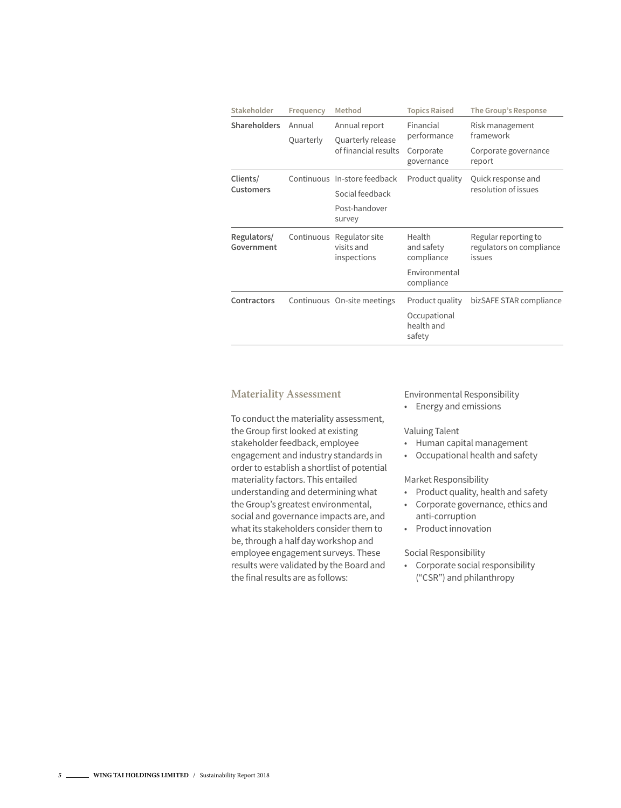| Stakeholder               | Frequency           | Method                                                                     | <b>Topics Raised</b>                                              | The Group's Response                                           |
|---------------------------|---------------------|----------------------------------------------------------------------------|-------------------------------------------------------------------|----------------------------------------------------------------|
| <b>Shareholders</b>       | Annual<br>Quarterly | Annual report<br>Quarterly release<br>of financial results                 | Financial<br>performance<br>Corporate<br>governance               | Risk management<br>framework<br>Corporate governance<br>report |
| Clients/<br>Customers     |                     | Continuous In-store feedback<br>Social feedback<br>Post-handover<br>survey | Product quality                                                   | Quick response and<br>resolution of issues                     |
| Regulators/<br>Government | Continuous          | Regulator site<br>visits and<br>inspections                                | Health<br>and safety<br>compliance<br>Environmental<br>compliance | Regular reporting to<br>regulators on compliance<br>issues     |
| <b>Contractors</b>        |                     | Continuous On-site meetings                                                | Product quality<br>Occupational<br>health and<br>safety           | bizSAFE STAR compliance                                        |

#### **Materiality Assessment**

To conduct the materiality assessment, the Group first looked at existing stakeholder feedback, employee engagement and industry standards in order to establish a shortlist of potential materiality factors. This entailed understanding and determining what the Group's greatest environmental, social and governance impacts are, and what its stakeholders consider them to be, through a half day workshop and employee engagement surveys. These results were validated by the Board and the final results are as follows:

Environmental Responsibility

• Energy and emissions

#### Valuing Talent

- Human capital management
- Occupational health and safety

Market Responsibility

- Product quality, health and safety
- Corporate governance, ethics and anti-corruption
- Product innovation

Social Responsibility

• Corporate social responsibility ("CSR") and philanthropy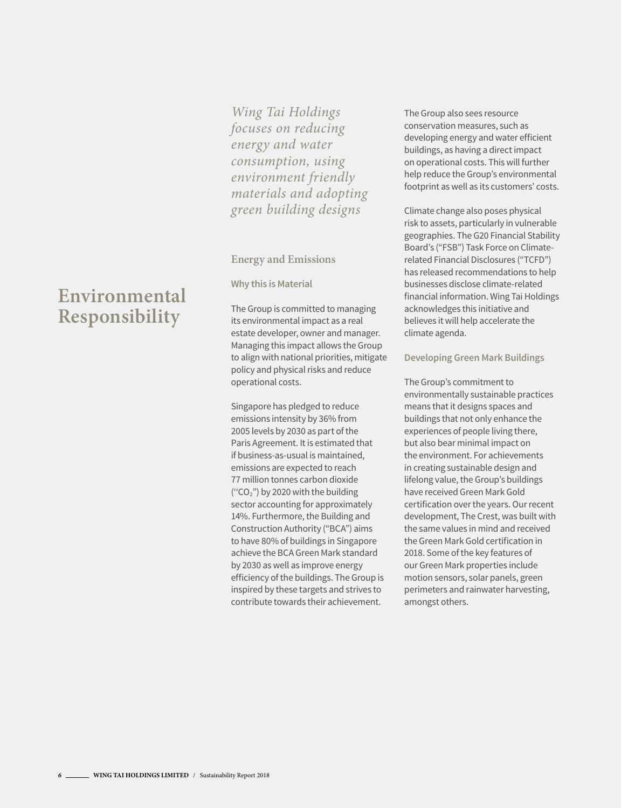*Wing Tai Holdings focuses on reducing energy and water consumption, using environment friendly materials and adopting green building designs*

#### **Energy and Emissions**

#### **Why this is Material**

The Group is committed to managing its environmental impact as a real estate developer, owner and manager. Managing this impact allows the Group to align with national priorities, mitigate policy and physical risks and reduce operational costs.

Singapore has pledged to reduce emissions intensity by 36% from 2005 levels by 2030 as part of the Paris Agreement. It is estimated that if business-as-usual is maintained, emissions are expected to reach 77 million tonnes carbon dioxide ("CO<sub>2</sub>") by 2020 with the building sector accounting for approximately 14%. Furthermore, the Building and Construction Authority ("BCA") aims to have 80% of buildings in Singapore achieve the BCA Green Mark standard by 2030 as well as improve energy efficiency of the buildings. The Group is inspired by these targets and strives to contribute towards their achievement.

The Group also sees resource conservation measures, such as developing energy and water efficient buildings, as having a direct impact on operational costs. This will further help reduce the Group's environmental footprint as well as its customers' costs.

Climate change also poses physical risk to assets, particularly in vulnerable geographies. The G20 Financial Stability Board's ("FSB") Task Force on Climaterelated Financial Disclosures ("TCFD") has released recommendations to help businesses disclose climate-related financial information. Wing Tai Holdings acknowledges this initiative and believes it will help accelerate the climate agenda.

#### **Developing Green Mark Buildings**

The Group's commitment to environmentally sustainable practices means that it designs spaces and buildings that not only enhance the experiences of people living there, but also bear minimal impact on the environment. For achievements in creating sustainable design and lifelong value, the Group's buildings have received Green Mark Gold certification over the years. Our recent development, The Crest, was built with the same values in mind and received the Green Mark Gold certification in 2018. Some of the key features of our Green Mark properties include motion sensors, solar panels, green perimeters and rainwater harvesting, amongst others.

# **Environmental Responsibility**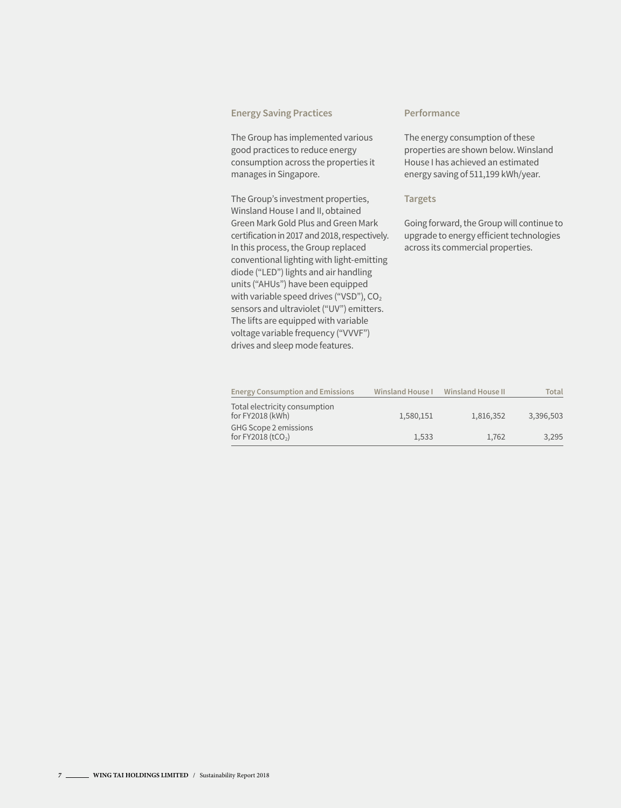#### **Energy Saving Practices**

The Group has implemented various good practices to reduce energy consumption across the properties it manages in Singapore.

The Group's investment properties, Winsland House I and II, obtained Green Mark Gold Plus and Green Mark certification in 2017 and 2018, respectively. In this process, the Group replaced conventional lighting with light-emitting diode ("LED") lights and air handling units ("AHUs") have been equipped with variable speed drives ("VSD"),  $CO<sub>2</sub>$ sensors and ultraviolet ("UV") emitters. The lifts are equipped with variable voltage variable frequency ("VVVF") drives and sleep mode features.

#### **Performance**

The energy consumption of these properties are shown below. Winsland House I has achieved an estimated energy saving of 511,199 kWh/year.

#### **Targets**

Going forward, the Group will continue to upgrade to energy efficient technologies across its commercial properties.

| <b>Energy Consumption and Emissions</b>           | Winsland House I | Winsland House II | Total     |
|---------------------------------------------------|------------------|-------------------|-----------|
| Total electricity consumption<br>for FY2018 (kWh) | 1,580,151        | 1,816,352         | 3,396,503 |
| GHG Scope 2 emissions<br>for FY2018 $(tCO2)$      | 1.533            | 1.762             | 3.295     |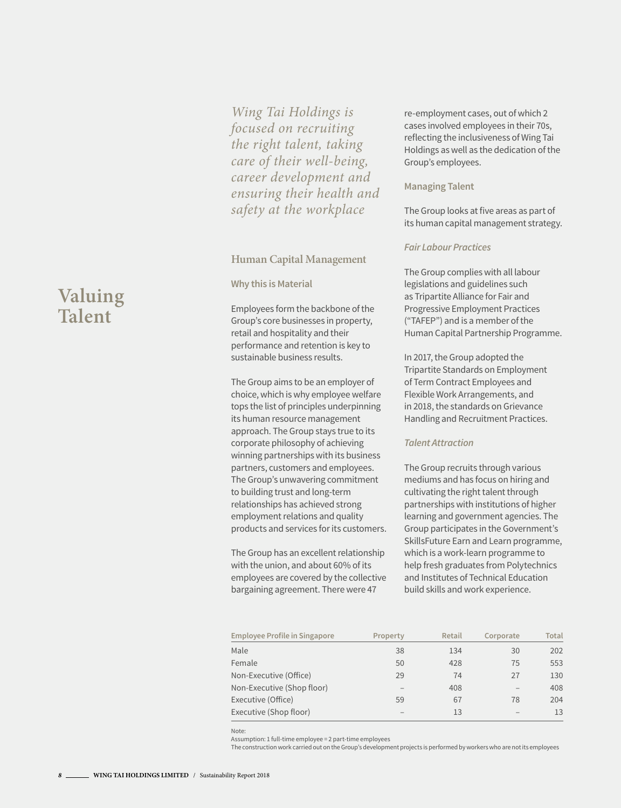*Wing Tai Holdings is focused on recruiting the right talent, taking care of their well-being, career development and ensuring their health and safety at the workplace*

#### **Human Capital Management**

#### **Why this is Material**

Employees form the backbone of the Group's core businesses in property, retail and hospitality and their performance and retention is key to sustainable business results.

The Group aims to be an employer of choice, which is why employee welfare tops the list of principles underpinning its human resource management approach. The Group stays true to its corporate philosophy of achieving winning partnerships with its business partners, customers and employees. The Group's unwavering commitment to building trust and long-term relationships has achieved strong employment relations and quality products and services for its customers.

The Group has an excellent relationship with the union, and about 60% of its employees are covered by the collective bargaining agreement. There were 47

re-employment cases, out of which 2 cases involved employees in their 70s, reflecting the inclusiveness of Wing Tai Holdings as well as the dedication of the Group's employees.

#### **Managing Talent**

The Group looks at five areas as part of its human capital management strategy.

#### *Fair Labour Practices*

The Group complies with all labour legislations and guidelines such as Tripartite Alliance for Fair and Progressive Employment Practices ("TAFEP") and is a member of the Human Capital Partnership Programme.

In 2017, the Group adopted the Tripartite Standards on Employment of Term Contract Employees and Flexible Work Arrangements, and in 2018, the standards on Grievance Handling and Recruitment Practices.

#### *Talent Attraction*

The Group recruits through various mediums and has focus on hiring and cultivating the right talent through partnerships with institutions of higher learning and government agencies. The Group participates in the Government's SkillsFuture Earn and Learn programme, which is a work-learn programme to help fresh graduates from Polytechnics and Institutes of Technical Education build skills and work experience.

| <b>Employee Profile in Singapore</b> | Property | <b>Retail</b> | Corporate | <b>Total</b> |
|--------------------------------------|----------|---------------|-----------|--------------|
| Male                                 | 38       | 134           | 30        | 202          |
| Female                               | 50       | 428           | 75        | 553          |
| Non-Executive (Office)               | 29       | 74            | 27        | 130          |
| Non-Executive (Shop floor)           |          | 408           |           | 408          |
| Executive (Office)                   | 59       | 67            | 78        | 204          |
| Executive (Shop floor)               |          | 13            |           | 13           |

Note:

Assumption: 1 full-time employee = 2 part-time employees

The construction work carried out on the Group's development projects is performed by workers who are not its employees

# **Valuing Talent**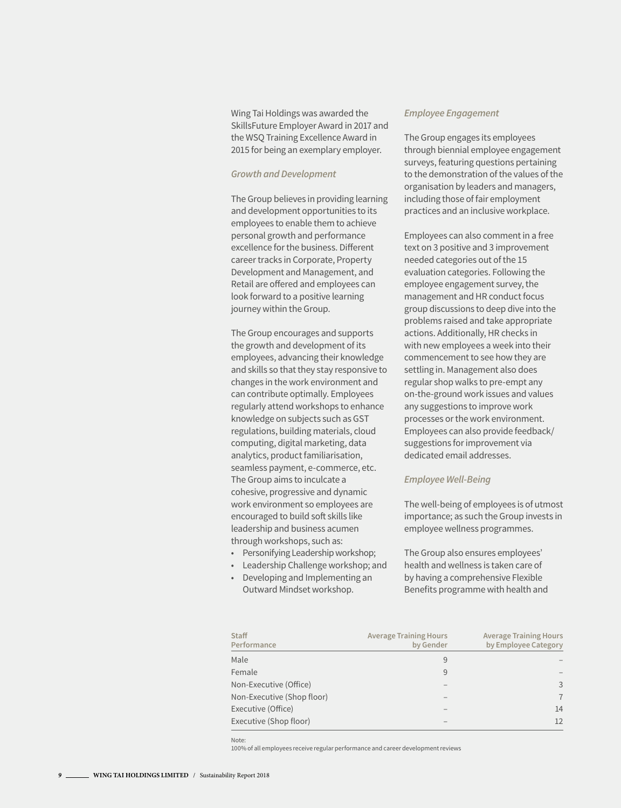Wing Tai Holdings was awarded the SkillsFuture Employer Award in 2017 and the WSQ Training Excellence Award in 2015 for being an exemplary employer.

#### *Growth and Development*

The Group believes in providing learning and development opportunities to its employees to enable them to achieve personal growth and performance excellence for the business. Different career tracks in Corporate, Property Development and Management, and Retail are offered and employees can look forward to a positive learning journey within the Group.

The Group encourages and supports the growth and development of its employees, advancing their knowledge and skills so that they stay responsive to changes in the work environment and can contribute optimally. Employees regularly attend workshops to enhance knowledge on subjects such as GST regulations, building materials, cloud computing, digital marketing, data analytics, product familiarisation, seamless payment, e-commerce, etc. The Group aims to inculcate a cohesive, progressive and dynamic work environment so employees are encouraged to build soft skills like leadership and business acumen through workshops, such as:

- Personifying Leadership workshop;
- Leadership Challenge workshop; and
- Developing and Implementing an Outward Mindset workshop.

#### *Employee Engagement*

The Group engages its employees through biennial employee engagement surveys, featuring questions pertaining to the demonstration of the values of the organisation by leaders and managers, including those of fair employment practices and an inclusive workplace.

Employees can also comment in a free text on 3 positive and 3 improvement needed categories out of the 15 evaluation categories. Following the employee engagement survey, the management and HR conduct focus group discussions to deep dive into the problems raised and take appropriate actions. Additionally, HR checks in with new employees a week into their commencement to see how they are settling in. Management also does regular shop walks to pre-empt any on-the-ground work issues and values any suggestions to improve work processes or the work environment. Employees can also provide feedback/ suggestions for improvement via dedicated email addresses.

#### *Employee Well-Being*

The well-being of employees is of utmost importance; as such the Group invests in employee wellness programmes.

The Group also ensures employees' health and wellness is taken care of by having a comprehensive Flexible Benefits programme with health and

| <b>Staff</b><br>Performance | <b>Average Training Hours</b><br>by Gender | <b>Average Training Hours</b><br>by Employee Category |
|-----------------------------|--------------------------------------------|-------------------------------------------------------|
| Male                        | 9                                          |                                                       |
| Female                      | 9                                          |                                                       |
| Non-Executive (Office)      |                                            | 3                                                     |
| Non-Executive (Shop floor)  |                                            | $\overline{7}$                                        |
| Executive (Office)          |                                            | 14                                                    |
| Executive (Shop floor)      |                                            | 12                                                    |

Note:

100% of all employees receive regular performance and career development reviews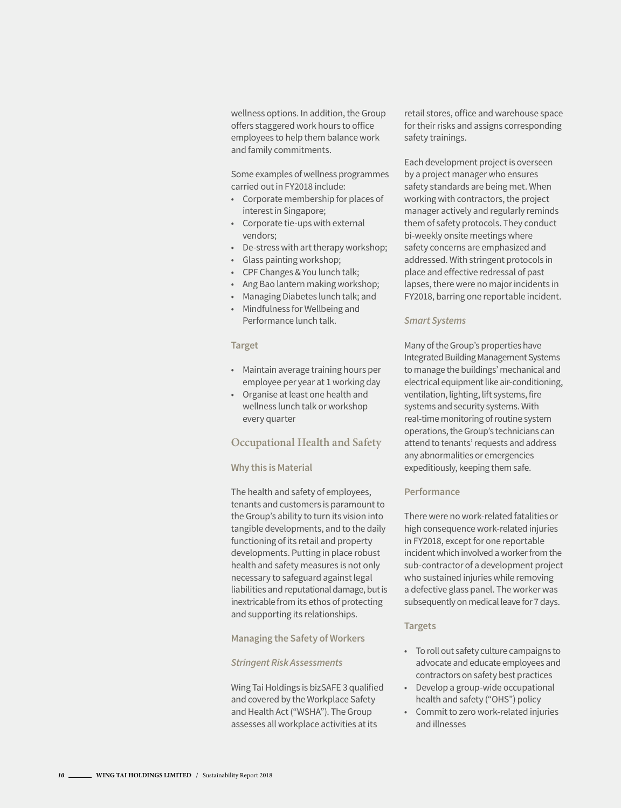wellness options. In addition, the Group offers staggered work hours to office employees to help them balance work and family commitments.

Some examples of wellness programmes carried out in FY2018 include:

- Corporate membership for places of interest in Singapore;
- Corporate tie-ups with external vendors;
- De-stress with art therapy workshop;
- Glass painting workshop;
- CPF Changes & You lunch talk;
- Ang Bao lantern making workshop;
- Managing Diabetes lunch talk; and
- Mindfulness for Wellbeing and Performance lunch talk.

#### **Target**

- Maintain average training hours per employee per year at 1 working day
- Organise at least one health and wellness lunch talk or workshop every quarter

#### **Occupational Health and Safety**

#### **Why this is Material**

The health and safety of employees, tenants and customers is paramount to the Group's ability to turn its vision into tangible developments, and to the daily functioning of its retail and property developments. Putting in place robust health and safety measures is not only necessary to safeguard against legal liabilities and reputational damage, but is inextricable from its ethos of protecting and supporting its relationships.

#### **Managing the Safety of Workers**

#### *Stringent Risk Assessments*

Wing Tai Holdings is bizSAFE 3 qualified and covered by the Workplace Safety and Health Act ("WSHA"). The Group assesses all workplace activities at its

retail stores, office and warehouse space for their risks and assigns corresponding safety trainings.

Each development project is overseen by a project manager who ensures safety standards are being met. When working with contractors, the project manager actively and regularly reminds them of safety protocols. They conduct bi-weekly onsite meetings where safety concerns are emphasized and addressed. With stringent protocols in place and effective redressal of past lapses, there were no major incidents in FY2018, barring one reportable incident.

#### *Smart Systems*

Many of the Group's properties have Integrated Building Management Systems to manage the buildings' mechanical and electrical equipment like air-conditioning, ventilation, lighting, lift systems, fire systems and security systems. With real-time monitoring of routine system operations, the Group's technicians can attend to tenants' requests and address any abnormalities or emergencies expeditiously, keeping them safe.

#### **Performance**

There were no work-related fatalities or high consequence work-related injuries in FY2018, except for one reportable incident which involved a worker from the sub-contractor of a development project who sustained injuries while removing a defective glass panel. The worker was subsequently on medical leave for 7 days.

#### **Targets**

- To roll out safety culture campaigns to advocate and educate employees and contractors on safety best practices
- Develop a group-wide occupational health and safety ("OHS") policy
- Commit to zero work-related injuries and illnesses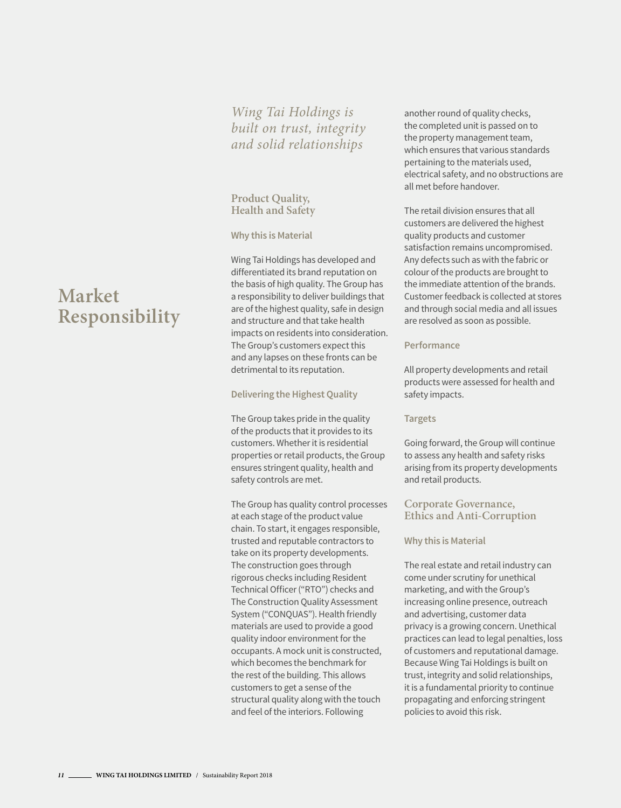### *Wing Tai Holdings is built on trust, integrity and solid relationships*

#### **Product Quality, Health and Safety**

#### **Why this is Material**

Wing Tai Holdings has developed and differentiated its brand reputation on the basis of high quality. The Group has a responsibility to deliver buildings that are of the highest quality, safe in design and structure and that take health impacts on residents into consideration. The Group's customers expect this and any lapses on these fronts can be detrimental to its reputation.

#### **Delivering the Highest Quality**

The Group takes pride in the quality of the products that it provides to its customers. Whether it is residential properties or retail products, the Group ensures stringent quality, health and safety controls are met.

The Group has quality control processes at each stage of the product value chain. To start, it engages responsible, trusted and reputable contractors to take on its property developments. The construction goes through rigorous checks including Resident Technical Officer ("RTO") checks and The Construction Quality Assessment System ("CONQUAS"). Health friendly materials are used to provide a good quality indoor environment for the occupants. A mock unit is constructed, which becomes the benchmark for the rest of the building. This allows customers to get a sense of the structural quality along with the touch and feel of the interiors. Following

another round of quality checks, the completed unit is passed on to the property management team, which ensures that various standards pertaining to the materials used, electrical safety, and no obstructions are all met before handover.

The retail division ensures that all customers are delivered the highest quality products and customer satisfaction remains uncompromised. Any defects such as with the fabric or colour of the products are brought to the immediate attention of the brands. Customer feedback is collected at stores and through social media and all issues are resolved as soon as possible.

#### **Performance**

All property developments and retail products were assessed for health and safety impacts.

#### **Targets**

Going forward, the Group will continue to assess any health and safety risks arising from its property developments and retail products.

#### **Corporate Governance, Ethics and Anti-Corruption**

#### **Why this is Material**

The real estate and retail industry can come under scrutiny for unethical marketing, and with the Group's increasing online presence, outreach and advertising, customer data privacy is a growing concern. Unethical practices can lead to legal penalties, loss of customers and reputational damage. Because Wing Tai Holdings is built on trust, integrity and solid relationships, it is a fundamental priority to continue propagating and enforcing stringent policies to avoid this risk.

# **Market Responsibility**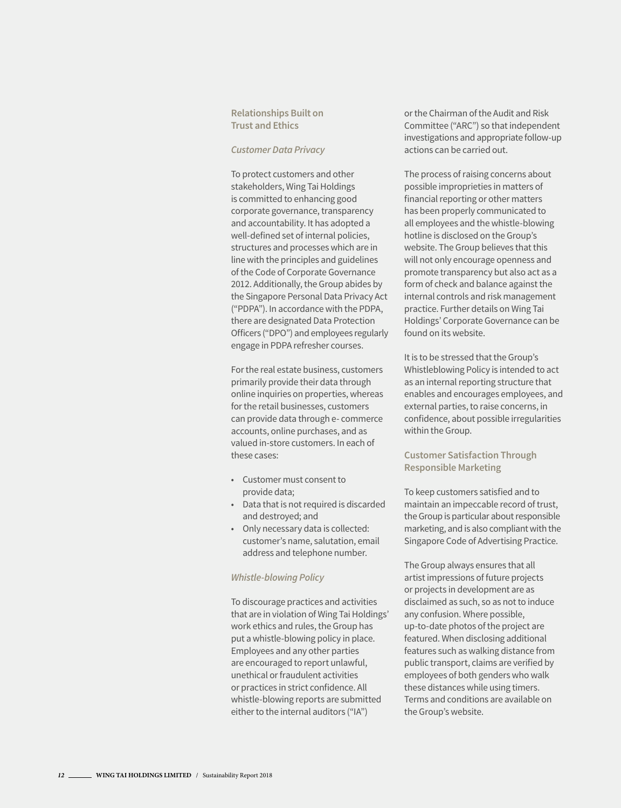#### **Relationships Built on Trust and Ethics**

#### *Customer Data Privacy*

To protect customers and other stakeholders, Wing Tai Holdings is committed to enhancing good corporate governance, transparency and accountability. It has adopted a well-defined set of internal policies, structures and processes which are in line with the principles and guidelines of the Code of Corporate Governance 2012. Additionally, the Group abides by the Singapore Personal Data Privacy Act ("PDPA"). In accordance with the PDPA, there are designated Data Protection Officers ("DPO") and employees regularly engage in PDPA refresher courses.

For the real estate business, customers primarily provide their data through online inquiries on properties, whereas for the retail businesses, customers can provide data through e- commerce accounts, online purchases, and as valued in-store customers. In each of these cases:

- Customer must consent to provide data;
- Data that is not required is discarded and destroyed; and
- Only necessary data is collected: customer's name, salutation, email address and telephone number.

#### *Whistle-blowing Policy*

To discourage practices and activities that are in violation of Wing Tai Holdings' work ethics and rules, the Group has put a whistle-blowing policy in place. Employees and any other parties are encouraged to report unlawful, unethical or fraudulent activities or practices in strict confidence. All whistle-blowing reports are submitted either to the internal auditors ("IA")

or the Chairman of the Audit and Risk Committee ("ARC") so that independent investigations and appropriate follow-up actions can be carried out.

The process of raising concerns about possible improprieties in matters of financial reporting or other matters has been properly communicated to all employees and the whistle-blowing hotline is disclosed on the Group's website. The Group believes that this will not only encourage openness and promote transparency but also act as a form of check and balance against the internal controls and risk management practice. Further details on Wing Tai Holdings' Corporate Governance can be found on its website.

It is to be stressed that the Group's Whistleblowing Policy is intended to act as an internal reporting structure that enables and encourages employees, and external parties, to raise concerns, in confidence, about possible irregularities within the Group.

#### **Customer Satisfaction Through Responsible Marketing**

To keep customers satisfied and to maintain an impeccable record of trust, the Group is particular about responsible marketing, and is also compliant with the Singapore Code of Advertising Practice.

The Group always ensures that all artist impressions of future projects or projects in development are as disclaimed as such, so as not to induce any confusion. Where possible, up-to-date photos of the project are featured. When disclosing additional features such as walking distance from public transport, claims are verified by employees of both genders who walk these distances while using timers. Terms and conditions are available on the Group's website.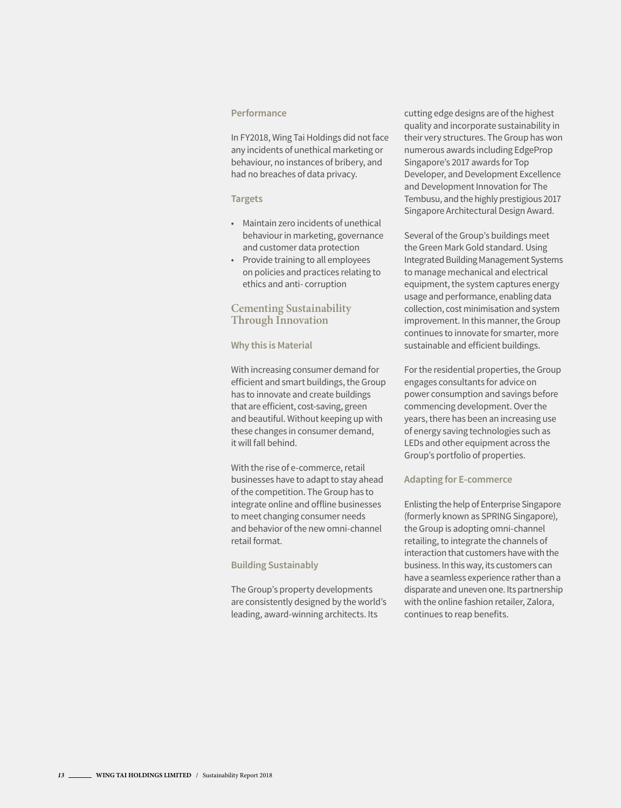#### **Performance**

In FY2018, Wing Tai Holdings did not face any incidents of unethical marketing or behaviour, no instances of bribery, and had no breaches of data privacy.

#### **Targets**

- Maintain zero incidents of unethical behaviour in marketing, governance and customer data protection
- Provide training to all employees on policies and practices relating to ethics and anti- corruption

#### **Cementing Sustainability Through Innovation**

#### **Why this is Material**

With increasing consumer demand for efficient and smart buildings, the Group has to innovate and create buildings that are efficient, cost-saving, green and beautiful. Without keeping up with these changes in consumer demand, it will fall behind.

With the rise of e-commerce, retail businesses have to adapt to stay ahead of the competition. The Group has to integrate online and offline businesses to meet changing consumer needs and behavior of the new omni-channel retail format.

#### **Building Sustainably**

The Group's property developments are consistently designed by the world's leading, award-winning architects. Its

cutting edge designs are of the highest quality and incorporate sustainability in their very structures. The Group has won numerous awards including EdgeProp Singapore's 2017 awards for Top Developer, and Development Excellence and Development Innovation for The Tembusu, and the highly prestigious 2017 Singapore Architectural Design Award.

Several of the Group's buildings meet the Green Mark Gold standard. Using Integrated Building Management Systems to manage mechanical and electrical equipment, the system captures energy usage and performance, enabling data collection, cost minimisation and system improvement. In this manner, the Group continues to innovate for smarter, more sustainable and efficient buildings.

For the residential properties, the Group engages consultants for advice on power consumption and savings before commencing development. Over the years, there has been an increasing use of energy saving technologies such as LEDs and other equipment across the Group's portfolio of properties.

#### **Adapting for E-commerce**

Enlisting the help of Enterprise Singapore (formerly known as SPRING Singapore), the Group is adopting omni-channel retailing, to integrate the channels of interaction that customers have with the business. In this way, its customers can have a seamless experience rather than a disparate and uneven one. Its partnership with the online fashion retailer, Zalora, continues to reap benefits.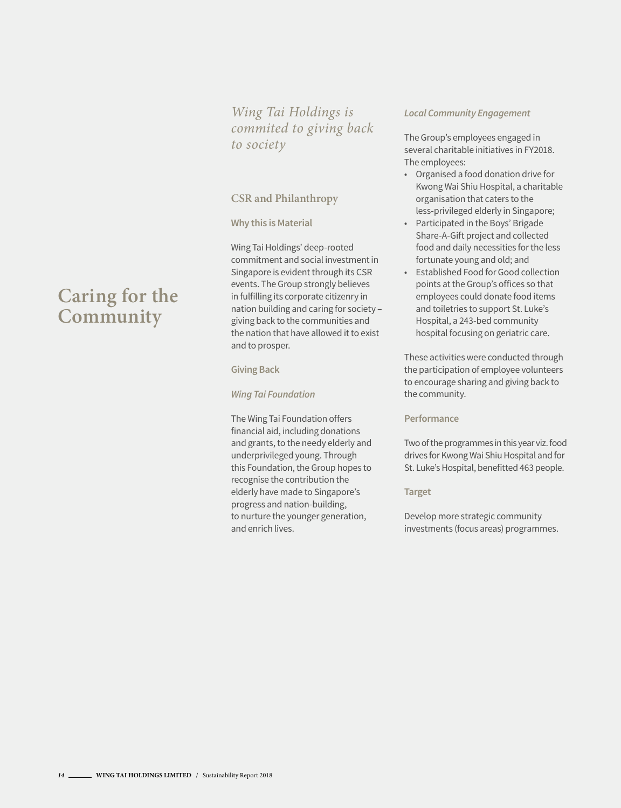*Wing Tai Holdings is commited to giving back to society*

#### **CSR and Philanthropy**

#### **Why this is Material**

Wing Tai Holdings' deep-rooted commitment and social investment in Singapore is evident through its CSR events. The Group strongly believes in fulfilling its corporate citizenry in nation building and caring for society – giving back to the communities and the nation that have allowed it to exist and to prosper.

#### **Giving Back**

#### *Wing Tai Foundation*

The Wing Tai Foundation offers financial aid, including donations and grants, to the needy elderly and underprivileged young. Through this Foundation, the Group hopes to recognise the contribution the elderly have made to Singapore's progress and nation-building, to nurture the younger generation, and enrich lives.

#### *Local Community Engagement*

The Group's employees engaged in several charitable initiatives in FY2018. The employees:

- Organised a food donation drive for Kwong Wai Shiu Hospital, a charitable organisation that caters to the less-privileged elderly in Singapore;
- Participated in the Boys' Brigade Share-A-Gift project and collected food and daily necessities for the less fortunate young and old; and
- Established Food for Good collection points at the Group's offices so that employees could donate food items and toiletries to support St. Luke's Hospital, a 243-bed community hospital focusing on geriatric care.

These activities were conducted through the participation of employee volunteers to encourage sharing and giving back to the community.

#### **Performance**

Two of the programmes in this year viz. food drives for Kwong Wai Shiu Hospital and for St. Luke's Hospital, benefitted 463 people.

#### **Target**

Develop more strategic community investments (focus areas) programmes.

# **Caring for the Community**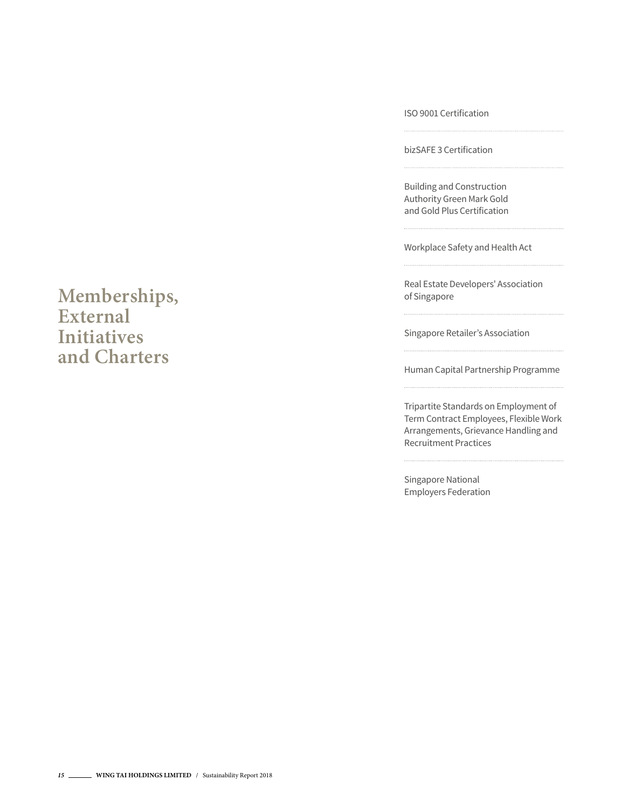ISO 9001 Certification

bizSAFE 3 Certification

Building and Construction Authority Green Mark Gold and Gold Plus Certification

Workplace Safety and Health Act

Real Estate Developers' Association of Singapore

Singapore Retailer's Association

Human Capital Partnership Programme

Tripartite Standards on Employment of Term Contract Employees, Flexible Work Arrangements, Grievance Handling and Recruitment Practices

Singapore National Employers Federation

### **Memberships, External Initiatives and Charters**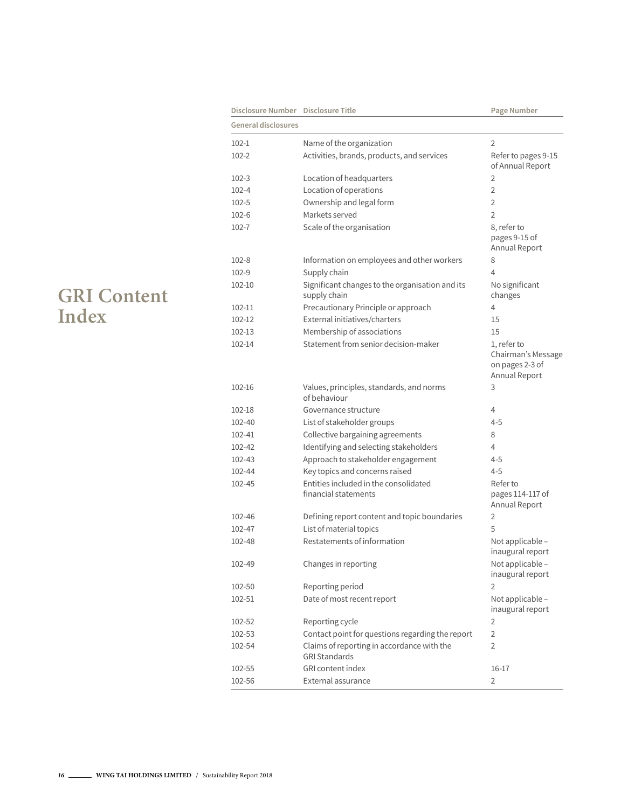| Disclosure Number Disclosure Title |                                                                    | Page Number                                                           |
|------------------------------------|--------------------------------------------------------------------|-----------------------------------------------------------------------|
| <b>General disclosures</b>         |                                                                    |                                                                       |
| $102 - 1$                          | Name of the organization                                           | 2                                                                     |
| $102 - 2$                          | Activities, brands, products, and services                         | Refer to pages 9-15<br>of Annual Report                               |
| $102 - 3$                          | Location of headquarters                                           | 2                                                                     |
| $102 - 4$                          | Location of operations                                             | $\overline{2}$                                                        |
| $102 - 5$                          | Ownership and legal form                                           | 2                                                                     |
| $102 - 6$                          | Markets served                                                     | $\overline{2}$                                                        |
| 102-7                              | Scale of the organisation                                          | 8, refer to<br>pages 9-15 of<br>Annual Report                         |
| $102 - 8$                          | Information on employees and other workers                         | 8                                                                     |
| $102 - 9$                          | Supply chain                                                       | 4                                                                     |
| 102-10                             | Significant changes to the organisation and its<br>supply chain    | No significant<br>changes                                             |
| 102-11                             | Precautionary Principle or approach                                | 4                                                                     |
| 102-12                             | External initiatives/charters                                      | 15                                                                    |
| $102 - 13$                         | Membership of associations                                         | 15                                                                    |
| 102-14                             | Statement from senior decision-maker                               | 1, refer to<br>Chairman's Message<br>on pages 2-3 of<br>Annual Report |
| 102-16                             | Values, principles, standards, and norms<br>of behaviour           | 3                                                                     |
| 102-18                             | Governance structure                                               | 4                                                                     |
| 102-40                             | List of stakeholder groups                                         | $4 - 5$                                                               |
| 102-41                             | Collective bargaining agreements                                   | 8                                                                     |
| 102-42                             | Identifying and selecting stakeholders                             | 4                                                                     |
| 102-43                             | Approach to stakeholder engagement                                 | $4 - 5$                                                               |
| 102-44                             | Key topics and concerns raised                                     | $4 - 5$                                                               |
| 102-45                             | Entities included in the consolidated<br>financial statements      | Refer to<br>pages 114-117 of<br>Annual Report                         |
| 102-46                             | Defining report content and topic boundaries                       | 2                                                                     |
| 102-47                             | List of material topics                                            | 5                                                                     |
| 102-48                             | Restatements of information                                        | Not applicable -<br>inaugural report                                  |
| 102-49                             | Changes in reporting                                               | Not applicable -<br>inaugural report                                  |
| 102-50                             | Reporting period                                                   | $\overline{2}$                                                        |
| 102-51                             | Date of most recent report                                         | Not applicable -<br>inaugural report                                  |
| 102-52                             | Reporting cycle                                                    | 2                                                                     |
| 102-53                             | Contact point for questions regarding the report                   | $\overline{2}$                                                        |
| 102-54                             | Claims of reporting in accordance with the<br><b>GRI Standards</b> | $\overline{2}$                                                        |
| 102-55                             | <b>GRI</b> content index                                           | 16-17                                                                 |
| 102-56                             | External assurance                                                 | $\overline{2}$                                                        |

### **GRI Content Index**